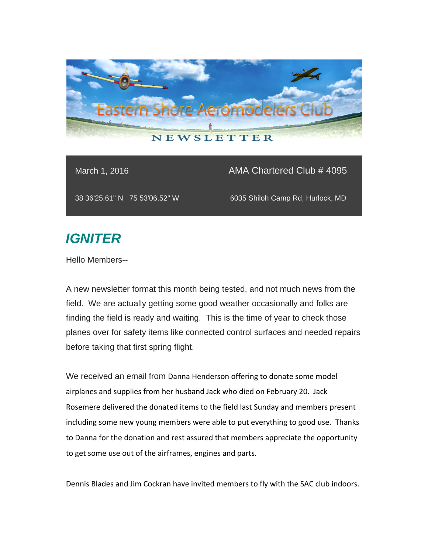

## March 1, 2016 **AMA Chartered Club # 4095**

38 36'25.61" N 75 53'06.52" W 6035 Shiloh Camp Rd, Hurlock, MD

# *IGNITER*

Hello Members--

A new newsletter format this month being tested, and not much news from the field. We are actually getting some good weather occasionally and folks are finding the field is ready and waiting. This is the time of year to check those planes over for safety items like connected control surfaces and needed repairs before taking that first spring flight.

We received an email from Danna Henderson offering to donate some model airplanes and supplies from her husband Jack who died on February 20. Jack Rosemere delivered the donated items to the field last Sunday and members present including some new young members were able to put everything to good use. Thanks to Danna for the donation and rest assured that members appreciate the opportunity to get some use out of the airframes, engines and parts.

Dennis Blades and Jim Cockran have invited members to fly with the SAC club indoors.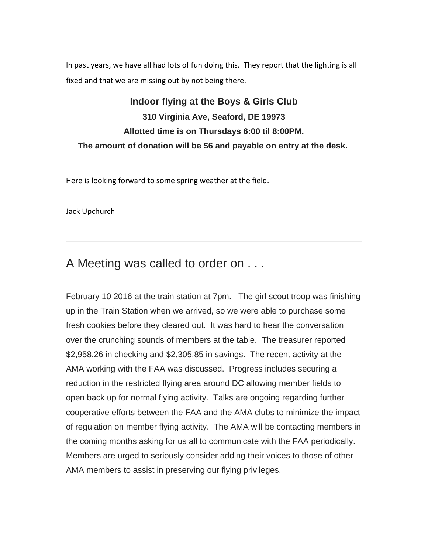In past years, we have all had lots of fun doing this. They report that the lighting is all fixed and that we are missing out by not being there.

## **Indoor flying at the Boys & Girls Club 310 Virginia Ave, Seaford, DE 19973 Allotted time is on Thursdays 6:00 til 8:00PM. The amount of donation will be \$6 and payable on entry at the desk.**

Here is looking forward to some spring weather at the field.

Jack Upchurch

## A Meeting was called to order on . . .

February 10 2016 at the train station at 7pm. The girl scout troop was finishing up in the Train Station when we arrived, so we were able to purchase some fresh cookies before they cleared out. It was hard to hear the conversation over the crunching sounds of members at the table. The treasurer reported \$2,958.26 in checking and \$2,305.85 in savings. The recent activity at the AMA working with the FAA was discussed. Progress includes securing a reduction in the restricted flying area around DC allowing member fields to open back up for normal flying activity. Talks are ongoing regarding further cooperative efforts between the FAA and the AMA clubs to minimize the impact of regulation on member flying activity. The AMA will be contacting members in the coming months asking for us all to communicate with the FAA periodically. Members are urged to seriously consider adding their voices to those of other AMA members to assist in preserving our flying privileges.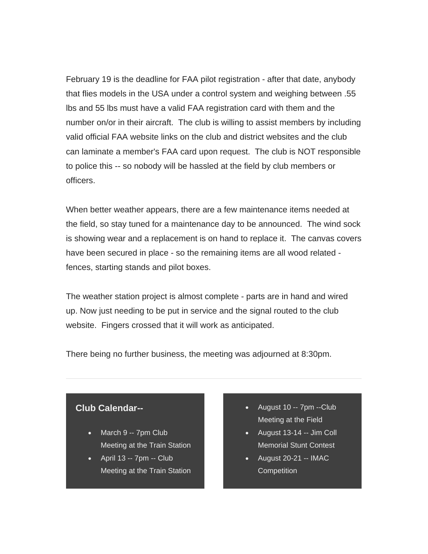February 19 is the deadline for FAA pilot registration - after that date, anybody that flies models in the USA under a control system and weighing between .55 lbs and 55 lbs must have a valid FAA registration card with them and the number on/or in their aircraft. The club is willing to assist members by including valid official FAA website links on the club and district websites and the club can laminate a member's FAA card upon request. The club is NOT responsible to police this -- so nobody will be hassled at the field by club members or officers.

When better weather appears, there are a few maintenance items needed at the field, so stay tuned for a maintenance day to be announced. The wind sock is showing wear and a replacement is on hand to replace it. The canvas covers have been secured in place - so the remaining items are all wood related fences, starting stands and pilot boxes.

The weather station project is almost complete - parts are in hand and wired up. Now just needing to be put in service and the signal routed to the club website. Fingers crossed that it will work as anticipated.

There being no further business, the meeting was adjourned at 8:30pm.

### **Club Calendar--**

- March 9 -- 7pm Club Meeting at the Train Station
- $\bullet$  April 13 -- 7pm -- Club Meeting at the Train Station
- August 10 -- 7pm --Club Meeting at the Field
- $\bullet$  August 13-14 -- Jim Coll Memorial Stunt Contest
- $\bullet$  August 20-21 -- IMAC **Competition**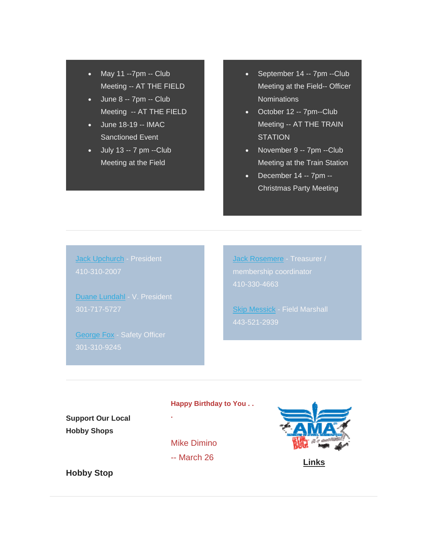- May 11 --7pm -- Club Meeting -- AT THE FIELD
- June 8 -- 7pm -- Club Meeting -- AT THE FIELD
- June 18-19 -- IMAC Sanctioned Event
- $\bullet$  July 13 -- 7 pm --Club Meeting at the Field
- September 14 -- 7pm --Club Meeting at the Field-- Officer Nominations
- October 12 -- 7pm--Club Meeting -- AT THE TRAIN **STATION**
- November 9 -- 7pm --Club Meeting at the Train Station
- $\bullet$  December 14 -- 7pm --Christmas Party Meeting

Jack Upchurch - President 410-310-2007

Duane Lundahl - V. President

George Fox - Safety Officer

Jack Rosemere - Treasurer / 410-330-4663

**Skip Messick - Field Marshall** 443-521-2939

#### **Happy Birthday to You . .**

**Support Our Local Hobby Shops**

Mike Dimino

**.** 

-- March 26 **Links**

**Hobby Stop**